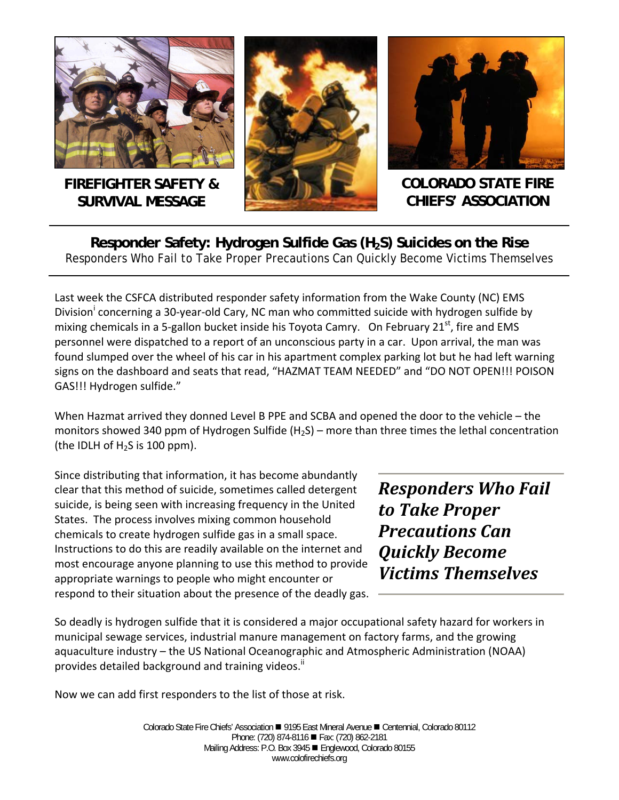

**FIREFIGHTER SAFETY & SURVIVAL MESSAGE** 





**COLORADO STATE FIRE CHIEFS' ASSOCIATION** 

Responder Safety: Hydrogen Sulfide Gas (H<sub>2</sub>S) Suicides on the Rise Responders Who Fail to Take Proper Precautions Can Quickly Become Victims Themselves

Last week the CSFCA distributed responder safety information from the Wake County (NC) EMS Division<sup>i</sup> concerning a 30-year-old Cary, NC man who committed suicide with hydrogen sulfide by mixing chemicals in a 5-gallon bucket inside his Toyota Camry. On February  $21<sup>st</sup>$ , fire and EMS personnel were dispatched to a report of an unconscious party in a car. Upon arrival, the man was found slumped over the wheel of his car in his apartment complex parking lot but he had left warning signs on the dashboard and seats that read, "HAZMAT TEAM NEEDED" and "DO NOT OPEN!!! POISON GAS!!! Hydrogen sulfide."

When Hazmat arrived they donned Level B PPE and SCBA and opened the door to the vehicle – the monitors showed 340 ppm of Hydrogen Sulfide (H<sub>2</sub>S) – more than three times the lethal concentration (the IDLH of  $H<sub>2</sub>S$  is 100 ppm).

Since distributing that information, it has become abundantly clear that this method of suicide, sometimes called detergent suicide, is being seen with increasing frequency in the United States. The process involves mixing common household chemicals to create hydrogen sulfide gas in a small space. Instructions to do this are readily available on the internet and most encourage anyone planning to use this method to provide appropriate warnings to people who might encounter or respond to their situation about the presence of the deadly gas.

*Responders Who Fail to Take Proper Precautions Can Quickly Become Victims Themselves*

So deadly is hydrogen sulfide that it is considered a major occupational safety hazard for workers in municipal sewage services, industrial manure management on factory farms, and the growing aquaculture industry – the US National Oceanographic and Atmospheric Administration (NOAA) provides detailed background and training videos.<sup>"</sup>

Now we can add first responders to the list of those at risk.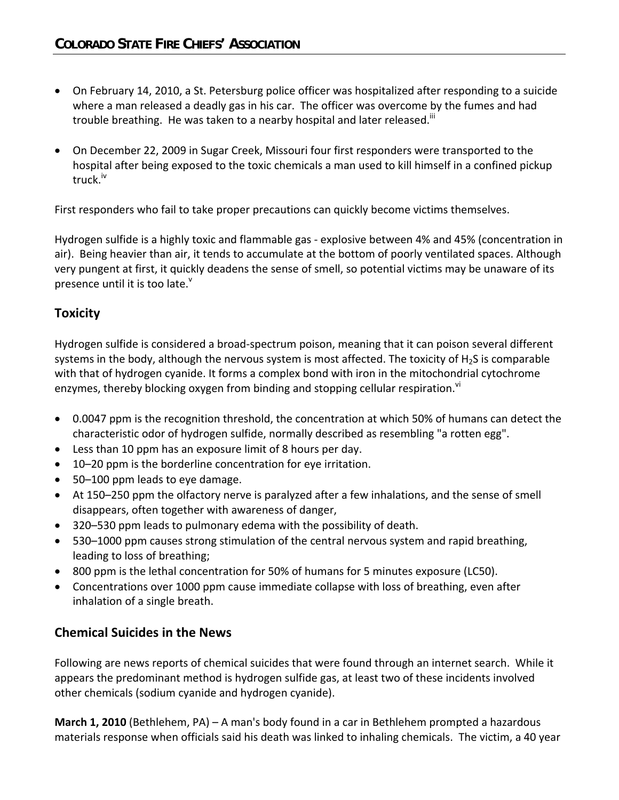- On February 14, 2010, a St. Petersburg police officer was hospitalized after responding to a suicide where a man released a deadly gas in his car. The officer was overcome by the fumes and had trouble breathing. He was taken to a nearby hospital and later released.<sup>III</sup>
- On December 22, 2009 in Sugar Creek, Missouri four first responders were transported to the hospital after being exposed to the toxic chemicals a man used to kill himself in a confined pickup truck.<sup>iv</sup>

First responders who fail to take proper precautions can quickly become victims themselves.

Hydrogen sulfide is a highly toxic and flammable gas ‐ explosive between 4% and 45% (concentration in air). Being heavier than air, it tends to accumulate at the bottom of poorly ventilated spaces. Although very pungent at first, it quickly deadens the sense of smell, so potential victims may be unaware of its presence until it is too late.<sup>v</sup>

## **Toxicity**

Hydrogen sulfide is considered a broad‐spectrum poison, meaning that it can poison several different systems in the body, although the nervous system is most affected. The toxicity of  $H<sub>2</sub>S$  is comparable with that of hydrogen cyanide. It forms a complex bond with iron in the mitochondrial cytochrome enzymes, thereby blocking oxygen from binding and stopping cellular respiration.<sup>vi</sup>

- 0.0047 ppm is the recognition threshold, the concentration at which 50% of humans can detect the characteristic odor of hydrogen sulfide, normally described as resembling "a rotten egg".
- Less than 10 ppm has an exposure limit of 8 hours per day.
- 10–20 ppm is the borderline concentration for eye irritation.
- 50–100 ppm leads to eye damage.
- At 150–250 ppm the olfactory nerve is paralyzed after a few inhalations, and the sense of smell disappears, often together with awareness of danger,
- 320–530 ppm leads to pulmonary edema with the possibility of death.
- 530–1000 ppm causes strong stimulation of the central nervous system and rapid breathing, leading to loss of breathing;
- 800 ppm is the lethal concentration for 50% of humans for 5 minutes exposure (LC50).
- Concentrations over 1000 ppm cause immediate collapse with loss of breathing, even after inhalation of a single breath.

### **Chemical Suicides in the News**

Following are news reports of chemical suicides that were found through an internet search. While it appears the predominant method is hydrogen sulfide gas, at least two of these incidents involved other chemicals (sodium cyanide and hydrogen cyanide).

**March 1, 2010** (Bethlehem, PA) – A man's body found in a car in Bethlehem prompted a hazardous materials response when officials said his death was linked to inhaling chemicals. The victim, a 40 year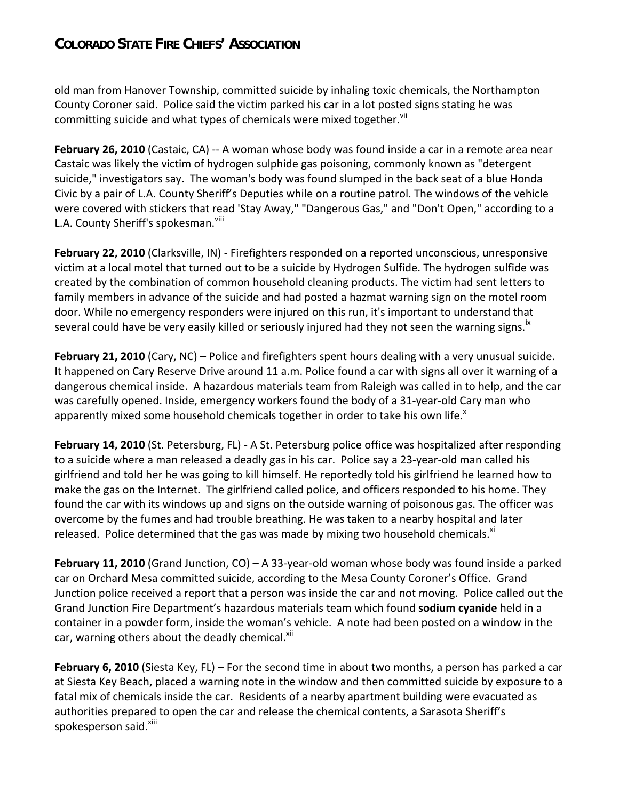old man from Hanover Township, committed suicide by inhaling toxic chemicals, the Northampton County Coroner said. Police said the victim parked his car in a lot posted signs stating he was committing suicide and what types of chemicals were mixed together.<sup>VII</sup>

**February 26, 2010** (Castaic, CA) ‐‐ A woman whose body was found inside a car in a remote area near Castaic was likely the victim of hydrogen sulphide gas poisoning, commonly known as "detergent suicide," investigators say. The woman's body was found slumped in the back seat of a blue Honda Civic by a pair of L.A. County Sheriff's Deputies while on a routine patrol. The windows of the vehicle were covered with stickers that read 'Stay Away," "Dangerous Gas," and "Don't Open," according to a L.A. County Sheriff's spokesman.<sup>viii</sup>

**February 22, 2010** (Clarksville, IN) ‐ Firefighters responded on a reported unconscious, unresponsive victim at a local motel that turned out to be a suicide by Hydrogen Sulfide. The hydrogen sulfide was created by the combination of common household cleaning products. The victim had sent letters to family members in advance of the suicide and had posted a hazmat warning sign on the motel room door. While no emergency responders were injured on this run, it's important to understand that several could have be very easily killed or seriously injured had they not seen the warning signs.<sup>18</sup>

**February 21, 2010** (Cary, NC) – Police and firefighters spent hours dealing with a very unusual suicide. It happened on Cary Reserve Drive around 11 a.m. Police found a car with signs all over it warning of a dangerous chemical inside. A hazardous materials team from Raleigh was called in to help, and the car was carefully opened. Inside, emergency workers found the body of a 31-year-old Cary man who apparently mixed some household chemicals together in order to take his own life. $^x$ 

**February 14, 2010** (St. Petersburg, FL) ‐ A St. Petersburg police office was hospitalized after responding to a suicide where a man released a deadly gas in his car. Police say a 23‐year‐old man called his girlfriend and told her he was going to kill himself. He reportedly told his girlfriend he learned how to make the gas on the Internet. The girlfriend called police, and officers responded to his home. They found the car with its windows up and signs on the outside warning of poisonous gas. The officer was overcome by the fumes and had trouble breathing. He was taken to a nearby hospital and later released. Police determined that the gas was made by mixing two household chemicals. $x_i$ 

**February 11, 2010** (Grand Junction, CO) – A 33‐year‐old woman whose body was found inside a parked car on Orchard Mesa committed suicide, according to the Mesa County Coroner's Office. Grand Junction police received a report that a person was inside the car and not moving. Police called out the Grand Junction Fire Department's hazardous materials team which found **sodium cyanide** held in a container in a powder form, inside the woman's vehicle. A note had been posted on a window in the car, warning others about the deadly chemical.<sup>XII</sup>

**February 6, 2010** (Siesta Key, FL) – For the second time in about two months, a person has parked a car at Siesta Key Beach, placed a warning note in the window and then committed suicide by exposure to a fatal mix of chemicals inside the car. Residents of a nearby apartment building were evacuated as authorities prepared to open the car and release the chemical contents, a Sarasota Sheriff's spokesperson said.<sup>xiii</sup>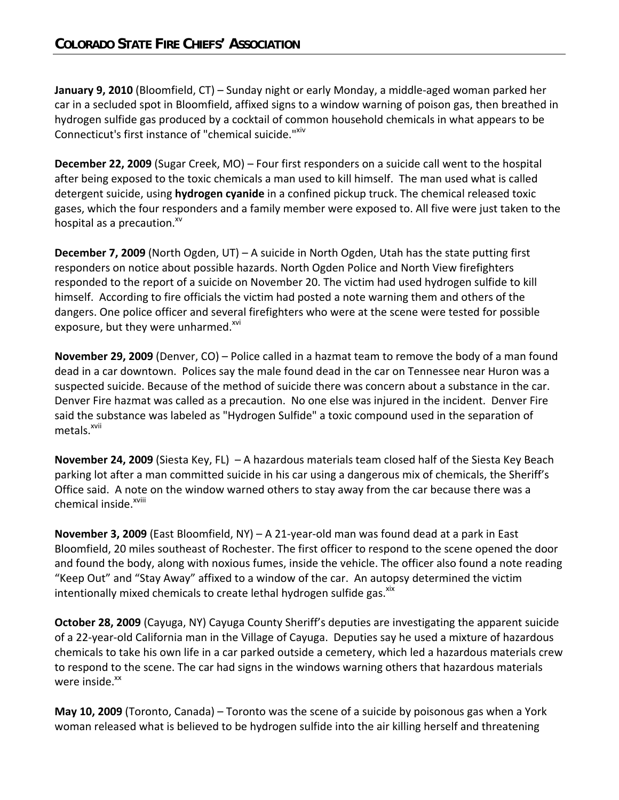**January 9, 2010** (Bloomfield, CT) – Sunday night or early Monday, a middle‐aged woman parked her car in a secluded spot in Bloomfield, affixed signs to a window warning of poison gas, then breathed in hydrogen sulfide gas produced by a cocktail of common household chemicals in what appears to be Connecticut's first instance of "chemical suicide."XIV

**December 22, 2009** (Sugar Creek, MO) – Four first responders on a suicide call went to the hospital after being exposed to the toxic chemicals a man used to kill himself. The man used what is called detergent suicide, using **hydrogen cyanide** in a confined pickup truck. The chemical released toxic gases, which the four responders and a family member were exposed to. All five were just taken to the hospital as a precaution. $^{xv}$ 

**December 7, 2009** (North Ogden, UT) – A suicide in North Ogden, Utah has the state putting first responders on notice about possible hazards. North Ogden Police and North View firefighters responded to the report of a suicide on November 20. The victim had used hydrogen sulfide to kill himself. According to fire officials the victim had posted a note warning them and others of the dangers. One police officer and several firefighters who were at the scene were tested for possible exposure, but they were unharmed.<sup>xvi</sup>

**November 29, 2009** (Denver, CO) – Police called in a hazmat team to remove the body of a man found dead in a car downtown. Polices say the male found dead in the car on Tennessee near Huron was a suspected suicide. Because of the method of suicide there was concern about a substance in the car. Denver Fire hazmat was called as a precaution. No one else was injured in the incident. Denver Fire said the substance was labeled as "Hydrogen Sulfide" a toxic compound used in the separation of metals.<sup>xvii</sup>

**November 24, 2009** (Siesta Key, FL) – A hazardous materials team closed half of the Siesta Key Beach parking lot after a man committed suicide in his car using a dangerous mix of chemicals, the Sheriff's Office said. A note on the window warned others to stay away from the car because there was a chemical inside.<sup>xviii</sup>

**November 3, 2009** (East Bloomfield, NY) – A 21‐year‐old man was found dead at a park in East Bloomfield, 20 miles southeast of Rochester. The first officer to respond to the scene opened the door and found the body, along with noxious fumes, inside the vehicle. The officer also found a note reading "Keep Out" and "Stay Away" affixed to a window of the car. An autopsy determined the victim intentionally mixed chemicals to create lethal hydrogen sulfide gas.<sup>xix</sup>

**October 28, 2009** (Cayuga, NY) Cayuga County Sheriff's deputies are investigating the apparent suicide of a 22‐year‐old California man in the Village of Cayuga. Deputies say he used a mixture of hazardous chemicals to take his own life in a car parked outside a cemetery, which led a hazardous materials crew to respond to the scene. The car had signs in the windows warning others that hazardous materials were inside. $^{xx}$ 

**May 10, 2009** (Toronto, Canada) – Toronto was the scene of a suicide by poisonous gas when a York woman released what is believed to be hydrogen sulfide into the air killing herself and threatening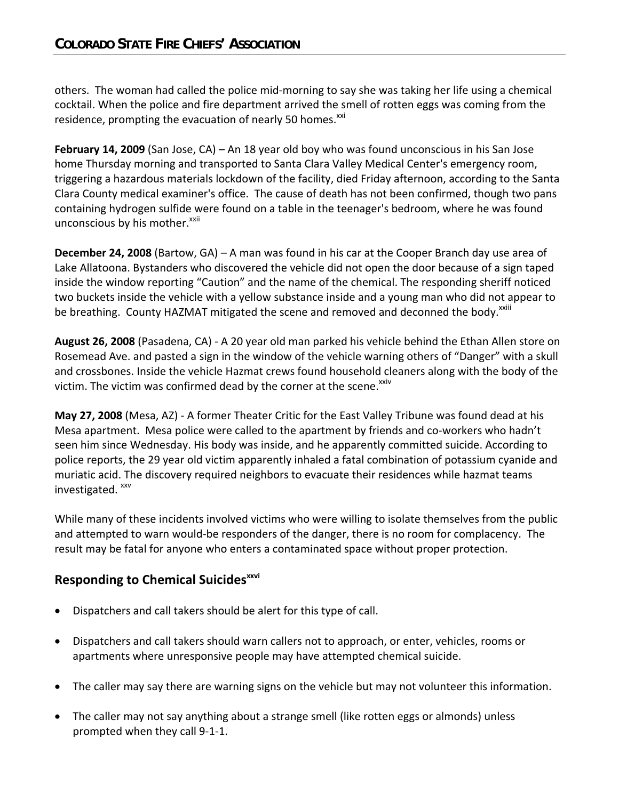others. The woman had called the police mid‐morning to say she was taking her life using a chemical cocktail. When the police and fire department arrived the smell of rotten eggs was coming from the residence, prompting the evacuation of nearly 50 homes.<sup>xxi</sup>

**February 14, 2009** (San Jose, CA) – An 18 year old boy who was found unconscious in his San Jose home Thursday morning and transported to Santa Clara Valley Medical Center's emergency room, triggering a hazardous materials lockdown of the facility, died Friday afternoon, according to the Santa Clara County medical examiner's office. The cause of death has not been confirmed, though two pans containing hydrogen sulfide were found on a table in the teenager's bedroom, where he was found unconscious by his mother.<sup>xxii</sup>

**December 24, 2008** (Bartow, GA) – A man was found in his car at the Cooper Branch day use area of Lake Allatoona. Bystanders who discovered the vehicle did not open the door because of a sign taped inside the window reporting "Caution" and the name of the chemical. The responding sheriff noticed two buckets inside the vehicle with a yellow substance inside and a young man who did not appear to be breathing. County HAZMAT mitigated the scene and removed and deconned the body.<sup>XXIII</sup>

**August 26, 2008** (Pasadena, CA) ‐ A 20 year old man parked his vehicle behind the Ethan Allen store on Rosemead Ave. and pasted a sign in the window of the vehicle warning others of "Danger" with a skull and crossbones. Inside the vehicle Hazmat crews found household cleaners along with the body of the victim. The victim was confirmed dead by the corner at the scene.<sup>xxiv</sup>

**May 27, 2008** (Mesa, AZ) ‐ A former Theater Critic for the East Valley Tribune was found dead at his Mesa apartment. Mesa police were called to the apartment by friends and co-workers who hadn't seen him since Wednesday. His body was inside, and he apparently committed suicide. According to police reports, the 29 year old victim apparently inhaled a fatal combination of potassium cyanide and muriatic acid. The discovery required neighbors to evacuate their residences while hazmat teams investigated. xxv

While many of these incidents involved victims who were willing to isolate themselves from the public and attempted to warn would‐be responders of the danger, there is no room for complacency. The result may be fatal for anyone who enters a contaminated space without proper protection.

# **Responding to Chemical Suicides**<sup>xxvi</sup>

- Dispatchers and call takers should be alert for this type of call.
- Dispatchers and call takers should warn callers not to approach, or enter, vehicles, rooms or apartments where unresponsive people may have attempted chemical suicide.
- The caller may say there are warning signs on the vehicle but may not volunteer this information.
- The caller may not say anything about a strange smell (like rotten eggs or almonds) unless prompted when they call 9‐1‐1.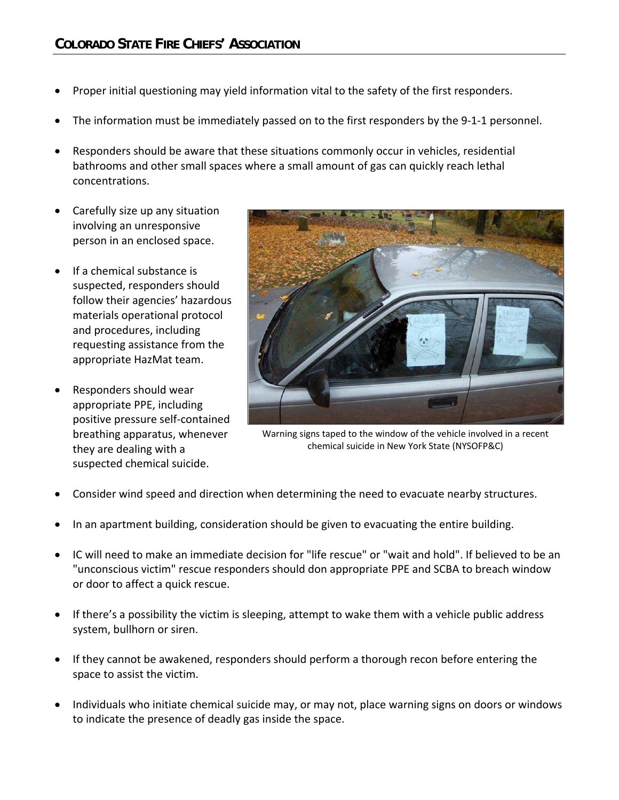- Proper initial questioning may yield information vital to the safety of the first responders.
- The information must be immediately passed on to the first responders by the 9‐1‐1 personnel.
- Responders should be aware that these situations commonly occur in vehicles, residential bathrooms and other small spaces where a small amount of gas can quickly reach lethal concentrations.
- Carefully size up any situation involving an unresponsive person in an enclosed space.
- If a chemical substance is suspected, responders should follow their agencies' hazardous materials operational protocol and procedures, including requesting assistance from the appropriate HazMat team.
- Responders should wear appropriate PPE, including positive pressure self‐contained breathing apparatus, whenever they are dealing with a suspected chemical suicide.



Warning signs taped to the window of the vehicle involved in a recent chemical suicide in New York State (NYSOFP&C)

- Consider wind speed and direction when determining the need to evacuate nearby structures.
- In an apartment building, consideration should be given to evacuating the entire building.
- IC will need to make an immediate decision for "life rescue" or "wait and hold". If believed to be an "unconscious victim" rescue responders should don appropriate PPE and SCBA to breach window or door to affect a quick rescue.
- If there's a possibility the victim is sleeping, attempt to wake them with a vehicle public address system, bullhorn or siren.
- If they cannot be awakened, responders should perform a thorough recon before entering the space to assist the victim.
- Individuals who initiate chemical suicide may, or may not, place warning signs on doors or windows to indicate the presence of deadly gas inside the space.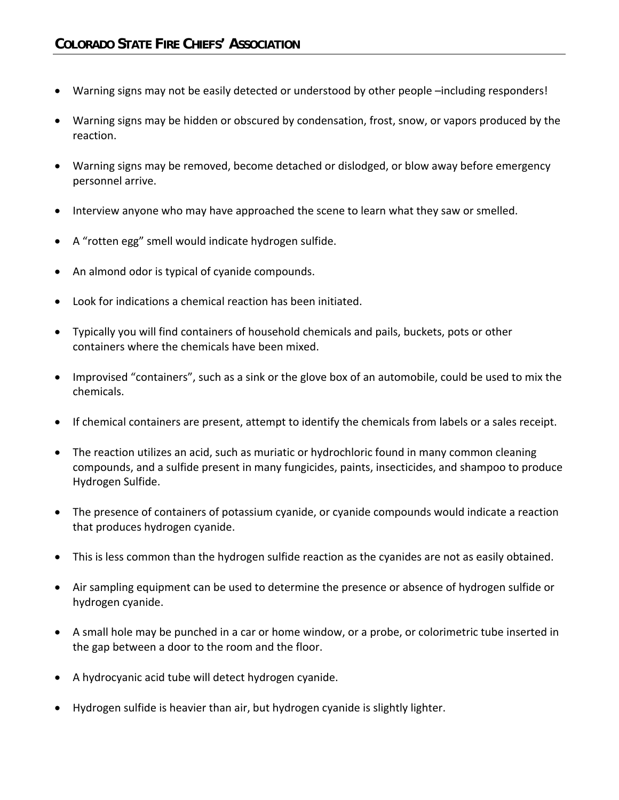- Warning signs may not be easily detected or understood by other people –including responders!
- Warning signs may be hidden or obscured by condensation, frost, snow, or vapors produced by the reaction.
- Warning signs may be removed, become detached or dislodged, or blow away before emergency personnel arrive.
- Interview anyone who may have approached the scene to learn what they saw or smelled.
- A "rotten egg" smell would indicate hydrogen sulfide.
- An almond odor is typical of cyanide compounds.
- Look for indications a chemical reaction has been initiated.
- Typically you will find containers of household chemicals and pails, buckets, pots or other containers where the chemicals have been mixed.
- Improvised "containers", such as a sink or the glove box of an automobile, could be used to mix the chemicals.
- If chemical containers are present, attempt to identify the chemicals from labels or a sales receipt.
- The reaction utilizes an acid, such as muriatic or hydrochloric found in many common cleaning compounds, and a sulfide present in many fungicides, paints, insecticides, and shampoo to produce Hydrogen Sulfide.
- The presence of containers of potassium cyanide, or cyanide compounds would indicate a reaction that produces hydrogen cyanide.
- This is less common than the hydrogen sulfide reaction as the cyanides are not as easily obtained.
- Air sampling equipment can be used to determine the presence or absence of hydrogen sulfide or hydrogen cyanide.
- A small hole may be punched in a car or home window, or a probe, or colorimetric tube inserted in the gap between a door to the room and the floor.
- A hydrocyanic acid tube will detect hydrogen cyanide.
- Hydrogen sulfide is heavier than air, but hydrogen cyanide is slightly lighter.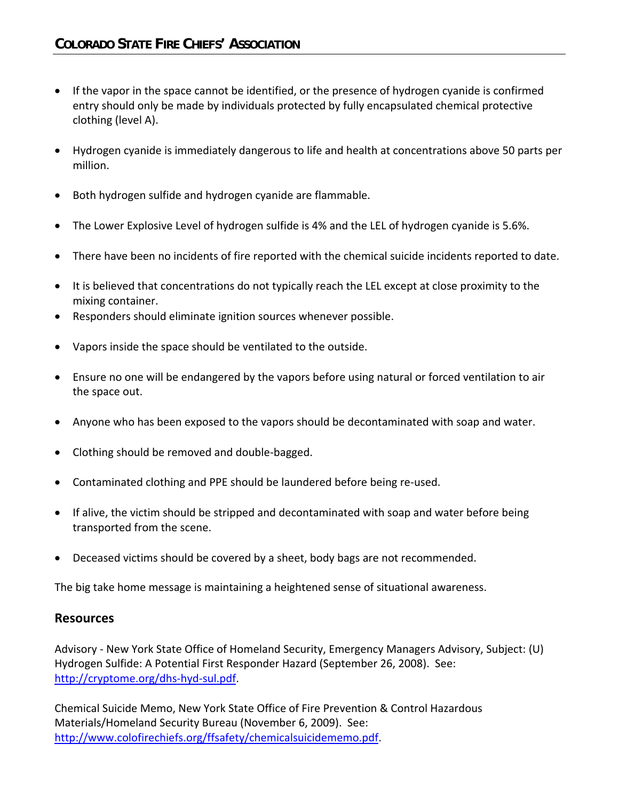- If the vapor in the space cannot be identified, or the presence of hydrogen cyanide is confirmed entry should only be made by individuals protected by fully encapsulated chemical protective clothing (level A).
- Hydrogen cyanide is immediately dangerous to life and health at concentrations above 50 parts per million.
- Both hydrogen sulfide and hydrogen cyanide are flammable.
- The Lower Explosive Level of hydrogen sulfide is 4% and the LEL of hydrogen cyanide is 5.6%.
- There have been no incidents of fire reported with the chemical suicide incidents reported to date.
- It is believed that concentrations do not typically reach the LEL except at close proximity to the mixing container.
- Responders should eliminate ignition sources whenever possible.
- Vapors inside the space should be ventilated to the outside.
- Ensure no one will be endangered by the vapors before using natural or forced ventilation to air the space out.
- Anyone who has been exposed to the vapors should be decontaminated with soap and water.
- Clothing should be removed and double-bagged.
- Contaminated clothing and PPE should be laundered before being re-used.
- If alive, the victim should be stripped and decontaminated with soap and water before being transported from the scene.
- Deceased victims should be covered by a sheet, body bags are not recommended.

The big take home message is maintaining a heightened sense of situational awareness.

#### **Resources**

Advisory ‐ New York State Office of Homeland Security, Emergency Managers Advisory, Subject: (U) Hydrogen Sulfide: A Potential First Responder Hazard (September 26, 2008). See: http://cryptome.org/dhs‐hyd‐sul.pdf.

Chemical Suicide Memo, New York State Office of Fire Prevention & Control Hazardous Materials/Homeland Security Bureau (November 6, 2009). See: http://www.colofirechiefs.org/ffsafety/chemicalsuicidememo.pdf.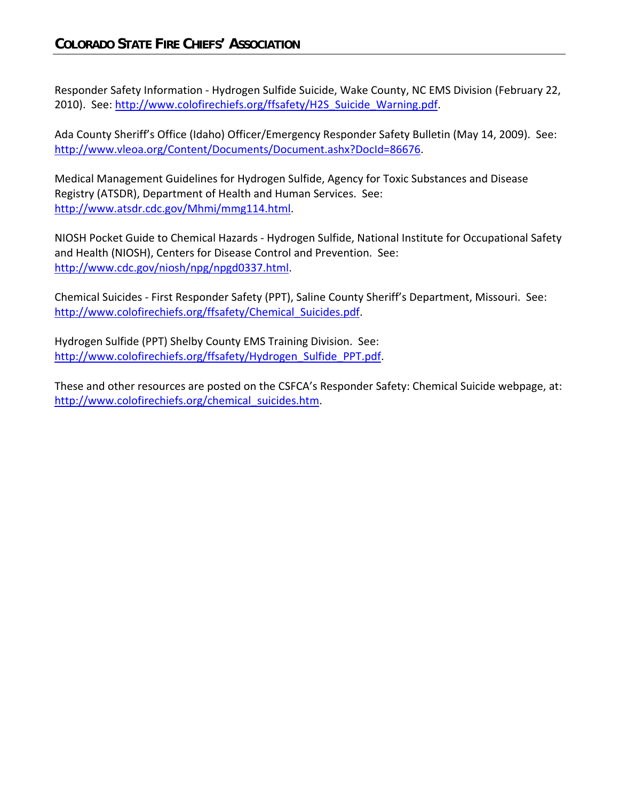Responder Safety Information ‐ Hydrogen Sulfide Suicide, Wake County, NC EMS Division (February 22, 2010). See: http://www.colofirechiefs.org/ffsafety/H2S\_Suicide\_Warning.pdf.

Ada County Sheriff's Office (Idaho) Officer/Emergency Responder Safety Bulletin (May 14, 2009). See: http://www.vleoa.org/Content/Documents/Document.ashx?DocId=86676.

Medical Management Guidelines for Hydrogen Sulfide, Agency for Toxic Substances and Disease Registry (ATSDR), Department of Health and Human Services. See: http://www.atsdr.cdc.gov/Mhmi/mmg114.html.

NIOSH Pocket Guide to Chemical Hazards ‐ Hydrogen Sulfide, National Institute for Occupational Safety and Health (NIOSH), Centers for Disease Control and Prevention. See: http://www.cdc.gov/niosh/npg/npgd0337.html.

Chemical Suicides ‐ First Responder Safety (PPT), Saline County Sheriff's Department, Missouri. See: http://www.colofirechiefs.org/ffsafety/Chemical Suicides.pdf.

Hydrogen Sulfide (PPT) Shelby County EMS Training Division. See: http://www.colofirechiefs.org/ffsafety/Hydrogen\_Sulfide\_PPT.pdf.

These and other resources are posted on the CSFCA's Responder Safety: Chemical Suicide webpage, at: http://www.colofirechiefs.org/chemical\_suicides.htm.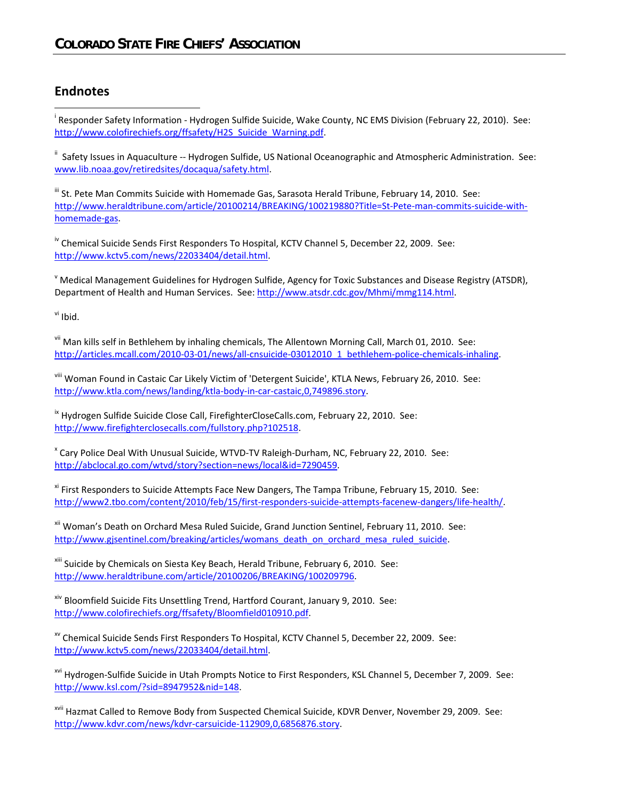## **Endnotes**

 $\overline{a}$ 

<sup>i</sup> Responder Safety Information - Hydrogen Sulfide Suicide, Wake County, NC EMS Division (February 22, 2010). See: http://www.colofirechiefs.org/ffsafety/H2S\_Suicide\_Warning.pdf.

ii Safety Issues in Aquaculture ‐‐ Hydrogen Sulfide, US National Oceanographic and Atmospheric Administration. See: www.lib.noaa.gov/retiredsites/docaqua/safety.html.

<sup>iii</sup> St. Pete Man Commits Suicide with Homemade Gas, Sarasota Herald Tribune, February 14, 2010. See: http://www.heraldtribune.com/article/20100214/BREAKING/100219880?Title=St-Pete-man-commits-suicide-withhomemade-gas.

<sup>iv</sup> Chemical Suicide Sends First Responders To Hospital, KCTV Channel 5, December 22, 2009. See: http://www.kctv5.com/news/22033404/detail.html.

<sup>v</sup> Medical Management Guidelines for Hydrogen Sulfide, Agency for Toxic Substances and Disease Registry (ATSDR), Department of Health and Human Services. See: http://www.atsdr.cdc.gov/Mhmi/mmg114.html.

vi Ibid.

vii Man kills self in Bethlehem by inhaling chemicals, The Allentown Morning Call, March 01, 2010. See: http://articles.mcall.com/2010‐03‐01/news/all‐cnsuicide‐03012010\_1\_bethlehem‐police‐chemicals‐inhaling.

viii Woman Found in Castaic Car Likely Victim of 'Detergent Suicide', KTLA News, February 26, 2010. See: http://www.ktla.com/news/landing/ktla‐body‐in‐car‐castaic,0,749896.story.

<sup>ix</sup> Hydrogen Sulfide Suicide Close Call, FirefighterCloseCalls.com, February 22, 2010. See: http://www.firefighterclosecalls.com/fullstory.php?102518.

<sup>x</sup> Cary Police Deal With Unusual Suicide, WTVD‐TV Raleigh‐Durham, NC, February 22, 2010. See: http://abclocal.go.com/wtvd/story?section=news/local&id=7290459.

xi First Responders to Suicide Attempts Face New Dangers, The Tampa Tribune, February 15, 2010. See: http://www2.tbo.com/content/2010/feb/15/first‐responders‐suicide‐attempts‐facenew‐dangers/life‐health/.

xii Woman's Death on Orchard Mesa Ruled Suicide, Grand Junction Sentinel, February 11, 2010. See: http://www.gisentinel.com/breaking/articles/womans\_death\_on\_orchard\_mesa\_ruled\_suicide.

xiii Suicide by Chemicals on Siesta Key Beach, Herald Tribune, February 6, 2010. See: http://www.heraldtribune.com/article/20100206/BREAKING/100209796.

xiv Bloomfield Suicide Fits Unsettling Trend, Hartford Courant, January 9, 2010. See: http://www.colofirechiefs.org/ffsafety/Bloomfield010910.pdf.

xv Chemical Suicide Sends First Responders To Hospital, KCTV Channel 5, December 22, 2009. See: http://www.kctv5.com/news/22033404/detail.html.

xvi Hydrogen‐Sulfide Suicide in Utah Prompts Notice to First Responders, KSL Channel 5, December 7, 2009. See: http://www.ksl.com/?sid=8947952&nid=148.

xvii Hazmat Called to Remove Body from Suspected Chemical Suicide, KDVR Denver, November 29, 2009. See: http://www.kdvr.com/news/kdvr‐carsuicide‐112909,0,6856876.story.